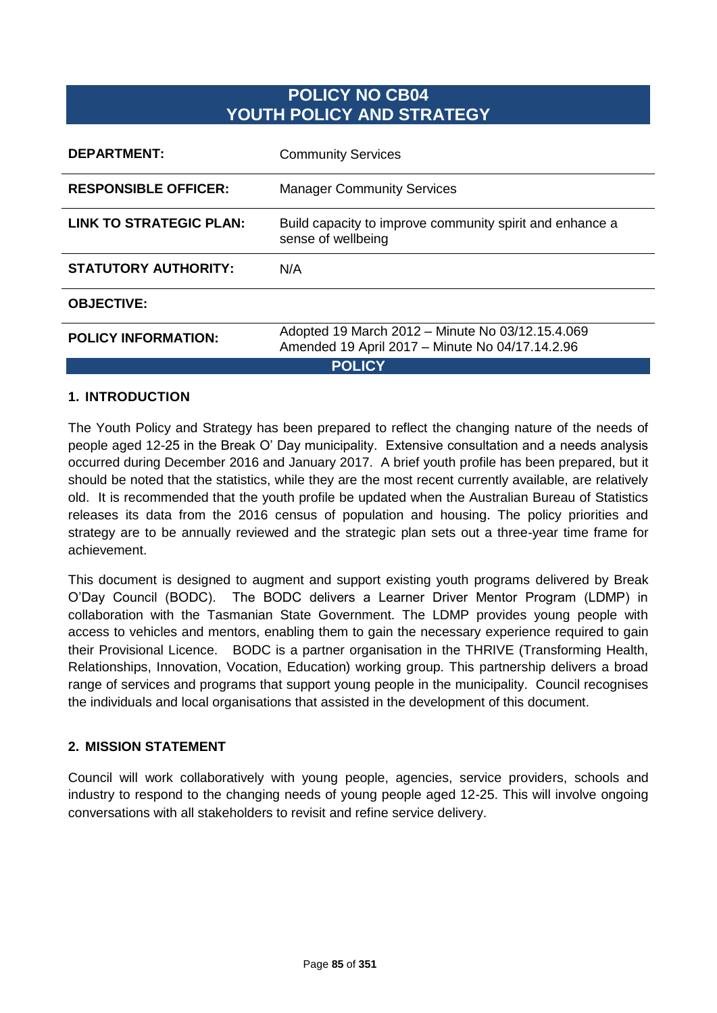# **POLICY NO CB04 YOUTH POLICY AND STRATEGY**

| <b>DEPARTMENT:</b>             | <b>Community Services</b>                                                                           |  |
|--------------------------------|-----------------------------------------------------------------------------------------------------|--|
| <b>RESPONSIBLE OFFICER:</b>    | <b>Manager Community Services</b>                                                                   |  |
| <b>LINK TO STRATEGIC PLAN:</b> | Build capacity to improve community spirit and enhance a<br>sense of wellbeing                      |  |
| <b>STATUTORY AUTHORITY:</b>    | N/A                                                                                                 |  |
| <b>OBJECTIVE:</b>              |                                                                                                     |  |
| <b>POLICY INFORMATION:</b>     | Adopted 19 March 2012 - Minute No 03/12.15.4.069<br>Amended 19 April 2017 - Minute No 04/17.14.2.96 |  |
| <b>POLICY</b>                  |                                                                                                     |  |

#### **1. INTRODUCTION**

The Youth Policy and Strategy has been prepared to reflect the changing nature of the needs of people aged 12-25 in the Break O' Day municipality. Extensive consultation and a needs analysis occurred during December 2016 and January 2017. A brief youth profile has been prepared, but it should be noted that the statistics, while they are the most recent currently available, are relatively old. It is recommended that the youth profile be updated when the Australian Bureau of Statistics releases its data from the 2016 census of population and housing. The policy priorities and strategy are to be annually reviewed and the strategic plan sets out a three-year time frame for achievement.

This document is designed to augment and support existing youth programs delivered by Break O'Day Council (BODC). The BODC delivers a Learner Driver Mentor Program (LDMP) in collaboration with the Tasmanian State Government. The LDMP provides young people with access to vehicles and mentors, enabling them to gain the necessary experience required to gain their Provisional Licence. BODC is a partner organisation in the THRIVE (Transforming Health, Relationships, Innovation, Vocation, Education) working group. This partnership delivers a broad range of services and programs that support young people in the municipality. Council recognises the individuals and local organisations that assisted in the development of this document.

#### **2. MISSION STATEMENT**

Council will work collaboratively with young people, agencies, service providers, schools and industry to respond to the changing needs of young people aged 12-25. This will involve ongoing conversations with all stakeholders to revisit and refine service delivery.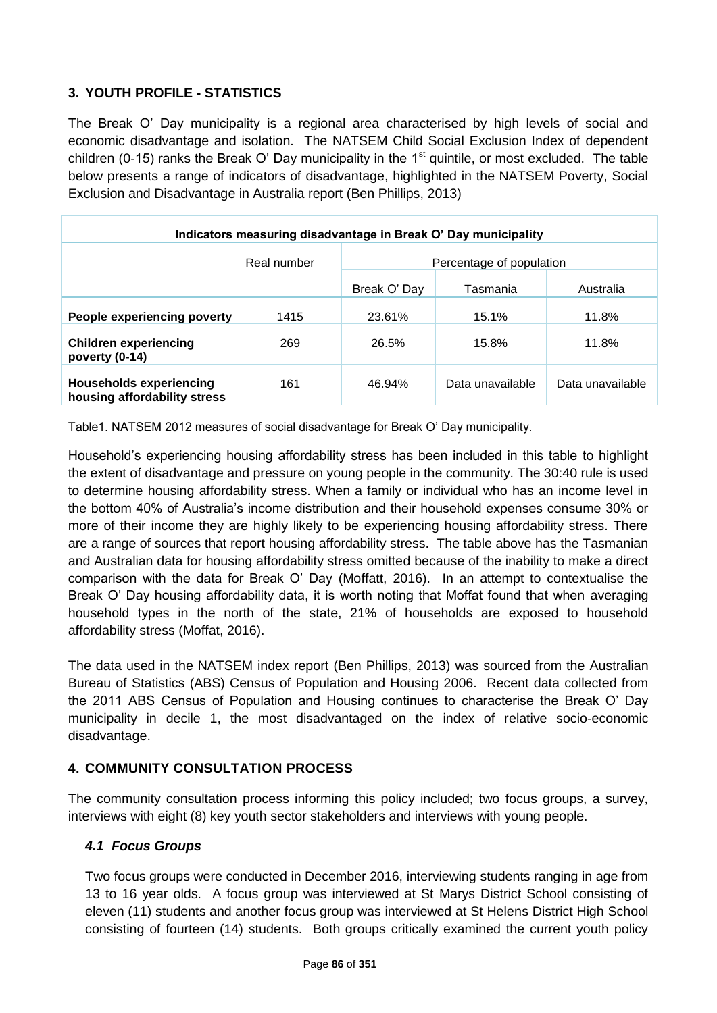## **3. YOUTH PROFILE - STATISTICS**

The Break O' Day municipality is a regional area characterised by high levels of social and economic disadvantage and isolation. The NATSEM Child Social Exclusion Index of dependent children (0-15) ranks the Break O' Day municipality in the  $1<sup>st</sup>$  quintile, or most excluded. The table below presents a range of indicators of disadvantage, highlighted in the NATSEM Poverty, Social Exclusion and Disadvantage in Australia report (Ben Phillips, 2013)

| Indicators measuring disadvantage in Break O' Day municipality |             |                          |                  |                  |  |  |
|----------------------------------------------------------------|-------------|--------------------------|------------------|------------------|--|--|
|                                                                | Real number | Percentage of population |                  |                  |  |  |
|                                                                |             | Break O' Day             | Tasmania         | Australia        |  |  |
| People experiencing poverty                                    | 1415        | 23.61%                   | 15.1%            | 11.8%            |  |  |
| <b>Children experiencing</b><br>poverty (0-14)                 | 269         | 26.5%                    | 15.8%            | 11.8%            |  |  |
| <b>Households experiencing</b><br>housing affordability stress | 161         | 46.94%                   | Data unavailable | Data unavailable |  |  |

Table1. NATSEM 2012 measures of social disadvantage for Break O' Day municipality.

Household's experiencing housing affordability stress has been included in this table to highlight the extent of disadvantage and pressure on young people in the community. The 30:40 rule is used to determine housing affordability stress. When a family or individual who has an income level in the bottom 40% of Australia's income distribution and their household expenses consume 30% or more of their income they are highly likely to be experiencing housing affordability stress. There are a range of sources that report housing affordability stress. The table above has the Tasmanian and Australian data for housing affordability stress omitted because of the inability to make a direct comparison with the data for Break O' Day (Moffatt, 2016). In an attempt to contextualise the Break O' Day housing affordability data, it is worth noting that Moffat found that when averaging household types in the north of the state, 21% of households are exposed to household affordability stress (Moffat, 2016).

The data used in the NATSEM index report (Ben Phillips, 2013) was sourced from the Australian Bureau of Statistics (ABS) Census of Population and Housing 2006. Recent data collected from the 2011 ABS Census of Population and Housing continues to characterise the Break O' Day municipality in decile 1, the most disadvantaged on the index of relative socio-economic disadvantage.

#### **4. COMMUNITY CONSULTATION PROCESS**

The community consultation process informing this policy included; two focus groups, a survey, interviews with eight (8) key youth sector stakeholders and interviews with young people.

#### *4.1 Focus Groups*

Two focus groups were conducted in December 2016, interviewing students ranging in age from 13 to 16 year olds. A focus group was interviewed at St Marys District School consisting of eleven (11) students and another focus group was interviewed at St Helens District High School consisting of fourteen (14) students. Both groups critically examined the current youth policy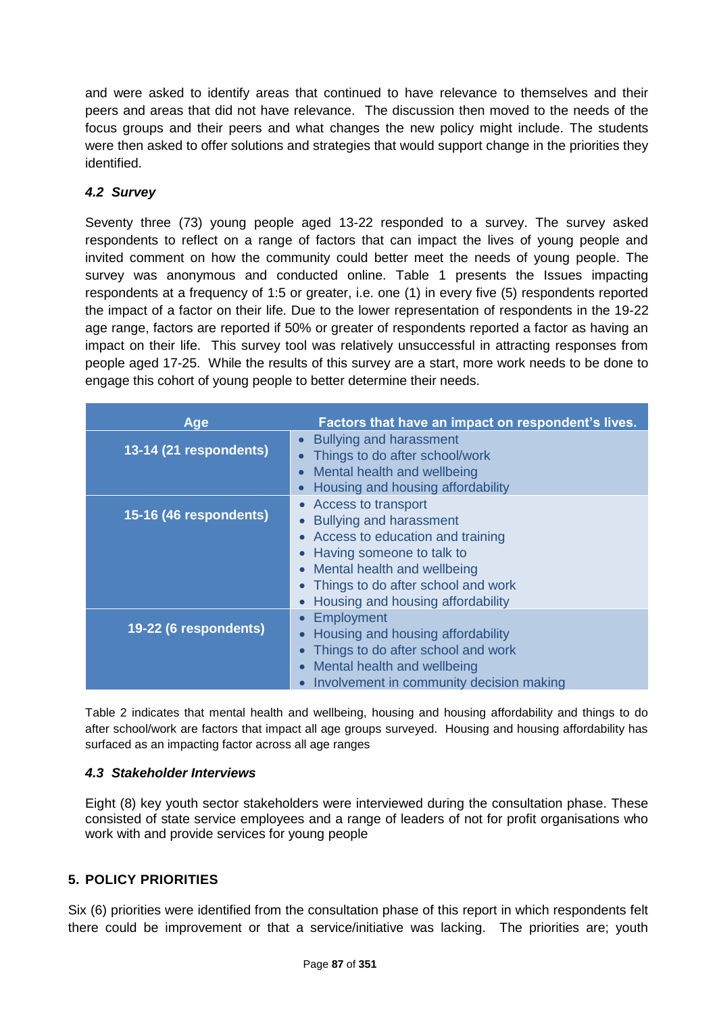and were asked to identify areas that continued to have relevance to themselves and their peers and areas that did not have relevance. The discussion then moved to the needs of the focus groups and their peers and what changes the new policy might include. The students were then asked to offer solutions and strategies that would support change in the priorities they identified.

## *4.2 Survey*

Seventy three (73) young people aged 13-22 responded to a survey. The survey asked respondents to reflect on a range of factors that can impact the lives of young people and invited comment on how the community could better meet the needs of young people. The survey was anonymous and conducted online. Table 1 presents the Issues impacting respondents at a frequency of 1:5 or greater, i.e. one (1) in every five (5) respondents reported the impact of a factor on their life. Due to the lower representation of respondents in the 19-22 age range, factors are reported if 50% or greater of respondents reported a factor as having an impact on their life. This survey tool was relatively unsuccessful in attracting responses from people aged 17-25. While the results of this survey are a start, more work needs to be done to engage this cohort of young people to better determine their needs.

| Age                    | Factors that have an impact on respondent's lives.                                                                                                                                                                                       |
|------------------------|------------------------------------------------------------------------------------------------------------------------------------------------------------------------------------------------------------------------------------------|
| 13-14 (21 respondents) | <b>Bullying and harassment</b><br>Things to do after school/work<br>Mental health and wellbeing<br>Housing and housing affordability                                                                                                     |
| 15-16 (46 respondents) | • Access to transport<br><b>Bullying and harassment</b><br>• Access to education and training<br>• Having someone to talk to<br>• Mental health and wellbeing<br>Things to do after school and work<br>Housing and housing affordability |
| 19-22 (6 respondents)  | <b>Employment</b><br>• Housing and housing affordability<br>Things to do after school and work<br>Mental health and wellbeing<br>Involvement in community decision making                                                                |

Table 2 indicates that mental health and wellbeing, housing and housing affordability and things to do after school/work are factors that impact all age groups surveyed. Housing and housing affordability has surfaced as an impacting factor across all age ranges

#### *4.3 Stakeholder Interviews*

Eight (8) key youth sector stakeholders were interviewed during the consultation phase. These consisted of state service employees and a range of leaders of not for profit organisations who work with and provide services for young people

## **5. POLICY PRIORITIES**

Six (6) priorities were identified from the consultation phase of this report in which respondents felt there could be improvement or that a service/initiative was lacking. The priorities are; youth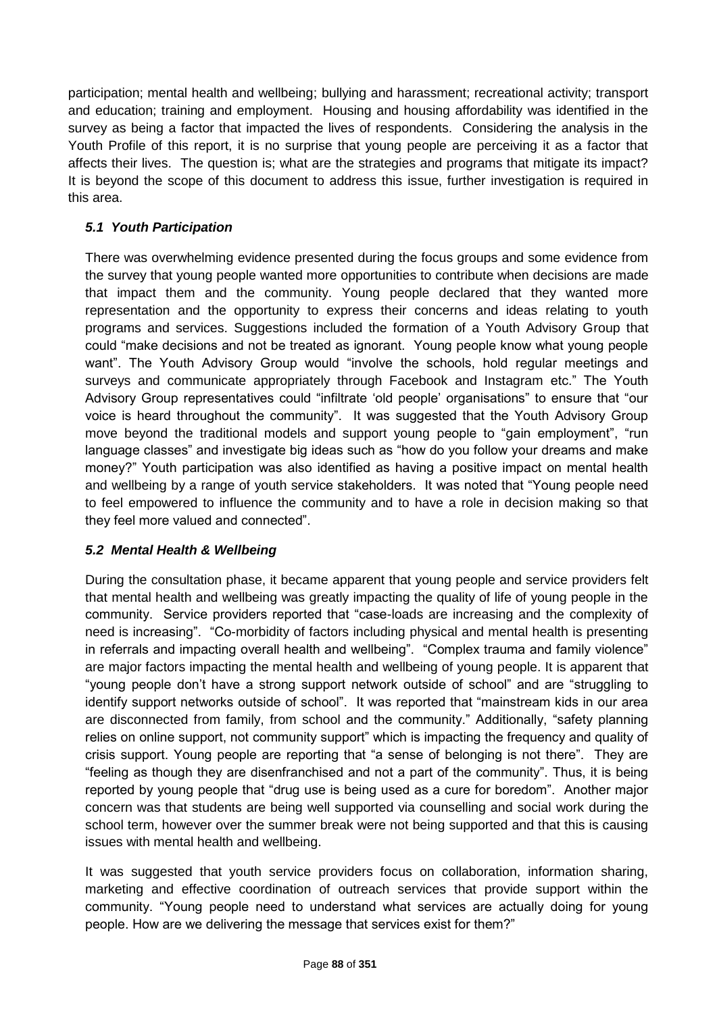participation; mental health and wellbeing; bullying and harassment; recreational activity; transport and education; training and employment. Housing and housing affordability was identified in the survey as being a factor that impacted the lives of respondents. Considering the analysis in the Youth Profile of this report, it is no surprise that young people are perceiving it as a factor that affects their lives. The question is; what are the strategies and programs that mitigate its impact? It is beyond the scope of this document to address this issue, further investigation is required in this area.

## *5.1 Youth Participation*

There was overwhelming evidence presented during the focus groups and some evidence from the survey that young people wanted more opportunities to contribute when decisions are made that impact them and the community. Young people declared that they wanted more representation and the opportunity to express their concerns and ideas relating to youth programs and services. Suggestions included the formation of a Youth Advisory Group that could "make decisions and not be treated as ignorant. Young people know what young people want". The Youth Advisory Group would "involve the schools, hold regular meetings and surveys and communicate appropriately through Facebook and Instagram etc." The Youth Advisory Group representatives could "infiltrate 'old people' organisations" to ensure that "our voice is heard throughout the community". It was suggested that the Youth Advisory Group move beyond the traditional models and support young people to "gain employment", "run language classes" and investigate big ideas such as "how do you follow your dreams and make money?" Youth participation was also identified as having a positive impact on mental health and wellbeing by a range of youth service stakeholders. It was noted that "Young people need to feel empowered to influence the community and to have a role in decision making so that they feel more valued and connected".

## *5.2 Mental Health & Wellbeing*

During the consultation phase, it became apparent that young people and service providers felt that mental health and wellbeing was greatly impacting the quality of life of young people in the community. Service providers reported that "case-loads are increasing and the complexity of need is increasing". "Co-morbidity of factors including physical and mental health is presenting in referrals and impacting overall health and wellbeing". "Complex trauma and family violence" are major factors impacting the mental health and wellbeing of young people. It is apparent that "young people don't have a strong support network outside of school" and are "struggling to identify support networks outside of school". It was reported that "mainstream kids in our area are disconnected from family, from school and the community." Additionally, "safety planning relies on online support, not community support" which is impacting the frequency and quality of crisis support. Young people are reporting that "a sense of belonging is not there". They are "feeling as though they are disenfranchised and not a part of the community". Thus, it is being reported by young people that "drug use is being used as a cure for boredom". Another major concern was that students are being well supported via counselling and social work during the school term, however over the summer break were not being supported and that this is causing issues with mental health and wellbeing.

It was suggested that youth service providers focus on collaboration, information sharing, marketing and effective coordination of outreach services that provide support within the community. "Young people need to understand what services are actually doing for young people. How are we delivering the message that services exist for them?"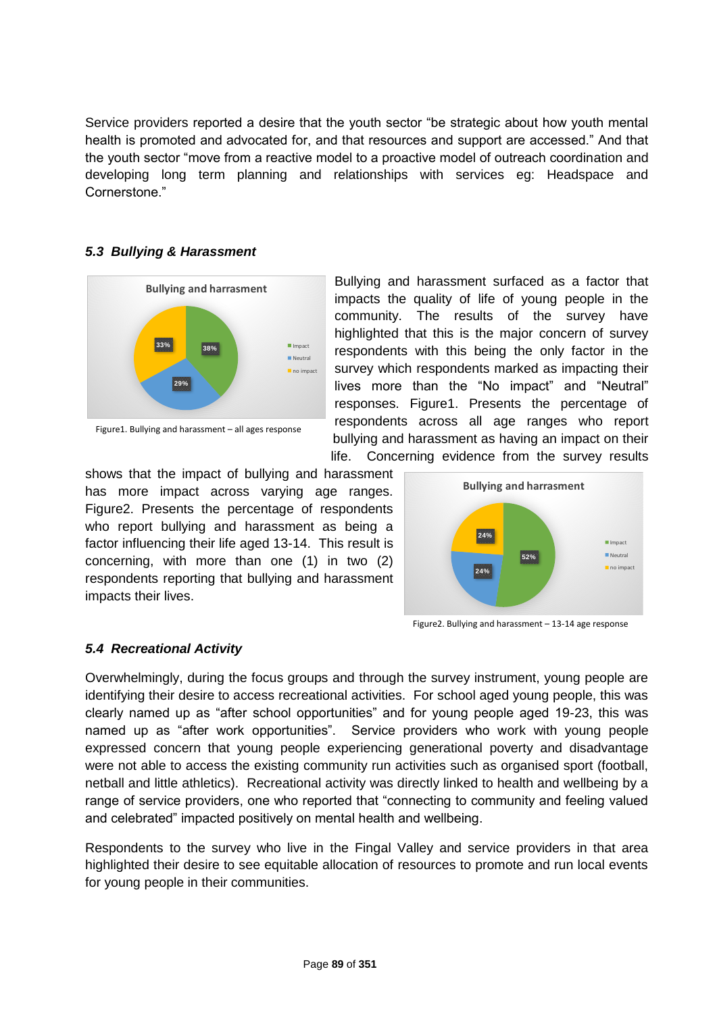Service providers reported a desire that the youth sector "be strategic about how youth mental health is promoted and advocated for, and that resources and support are accessed." And that the youth sector "move from a reactive model to a proactive model of outreach coordination and developing long term planning and relationships with services eg: Headspace and Cornerstone."

#### *5.3 Bullying & Harassment*



Bullying and harassment surfaced as a factor that impacts the quality of life of young people in the community. The results of the survey have highlighted that this is the major concern of survey respondents with this being the only factor in the survey which respondents marked as impacting their lives more than the "No impact" and "Neutral" responses. Figure1. Presents the percentage of respondents across all age ranges who report bullying and harassment as having an impact on their life. Concerning evidence from the survey results

shows that the impact of bullying and harassment has more impact across varying age ranges. Figure2. Presents the percentage of respondents who report bullying and harassment as being a factor influencing their life aged 13-14. This result is concerning, with more than one (1) in two (2) respondents reporting that bullying and harassment impacts their lives.



Figure2. Bullying and harassment – 13-14 age response

#### *5.4 Recreational Activity*

Overwhelmingly, during the focus groups and through the survey instrument, young people are identifying their desire to access recreational activities. For school aged young people, this was clearly named up as "after school opportunities" and for young people aged 19-23, this was named up as "after work opportunities". Service providers who work with young people expressed concern that young people experiencing generational poverty and disadvantage were not able to access the existing community run activities such as organised sport (football, netball and little athletics). Recreational activity was directly linked to health and wellbeing by a range of service providers, one who reported that "connecting to community and feeling valued and celebrated" impacted positively on mental health and wellbeing.

Respondents to the survey who live in the Fingal Valley and service providers in that area highlighted their desire to see equitable allocation of resources to promote and run local events for young people in their communities.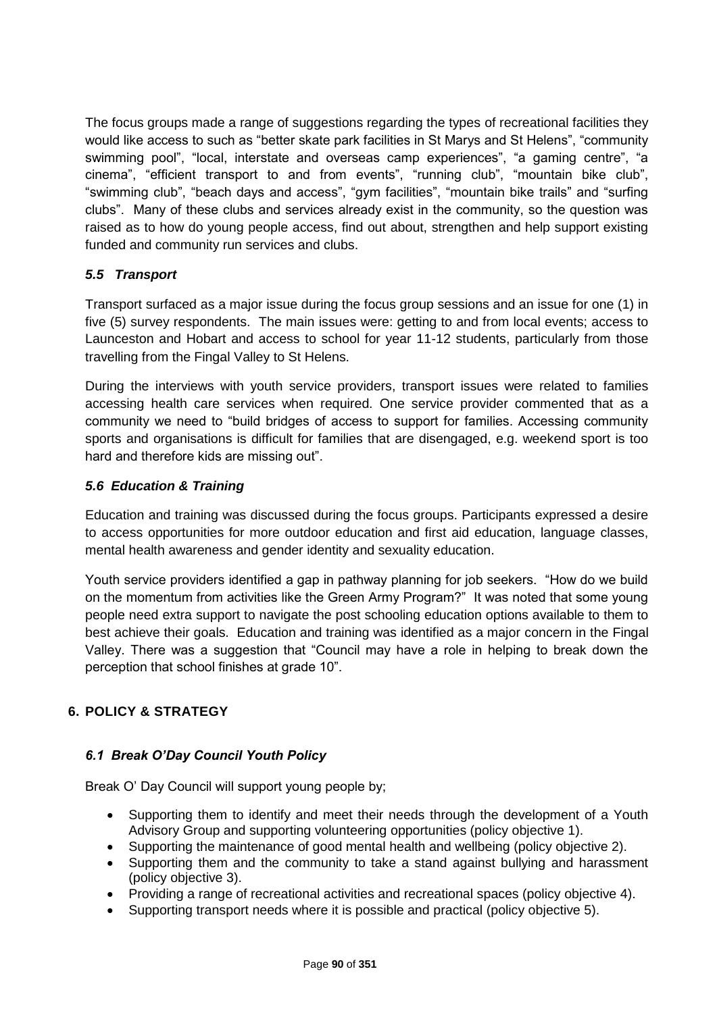The focus groups made a range of suggestions regarding the types of recreational facilities they would like access to such as "better skate park facilities in St Marys and St Helens", "community swimming pool", "local, interstate and overseas camp experiences", "a gaming centre", "a cinema", "efficient transport to and from events", "running club", "mountain bike club", "swimming club", "beach days and access", "gym facilities", "mountain bike trails" and "surfing clubs". Many of these clubs and services already exist in the community, so the question was raised as to how do young people access, find out about, strengthen and help support existing funded and community run services and clubs.

## *5.5 Transport*

Transport surfaced as a major issue during the focus group sessions and an issue for one (1) in five (5) survey respondents. The main issues were: getting to and from local events; access to Launceston and Hobart and access to school for year 11-12 students, particularly from those travelling from the Fingal Valley to St Helens.

During the interviews with youth service providers, transport issues were related to families accessing health care services when required. One service provider commented that as a community we need to "build bridges of access to support for families. Accessing community sports and organisations is difficult for families that are disengaged, e.g. weekend sport is too hard and therefore kids are missing out".

### *5.6 Education & Training*

Education and training was discussed during the focus groups. Participants expressed a desire to access opportunities for more outdoor education and first aid education, language classes, mental health awareness and gender identity and sexuality education.

Youth service providers identified a gap in pathway planning for job seekers. "How do we build on the momentum from activities like the Green Army Program?" It was noted that some young people need extra support to navigate the post schooling education options available to them to best achieve their goals. Education and training was identified as a major concern in the Fingal Valley. There was a suggestion that "Council may have a role in helping to break down the perception that school finishes at grade 10".

## **6. POLICY & STRATEGY**

## *6.1 Break O'Day Council Youth Policy*

Break O' Day Council will support young people by;

- Supporting them to identify and meet their needs through the development of a Youth Advisory Group and supporting volunteering opportunities (policy objective 1).
- Supporting the maintenance of good mental health and wellbeing (policy objective 2).
- Supporting them and the community to take a stand against bullying and harassment (policy objective 3).
- Providing a range of recreational activities and recreational spaces (policy objective 4).
- Supporting transport needs where it is possible and practical (policy objective 5).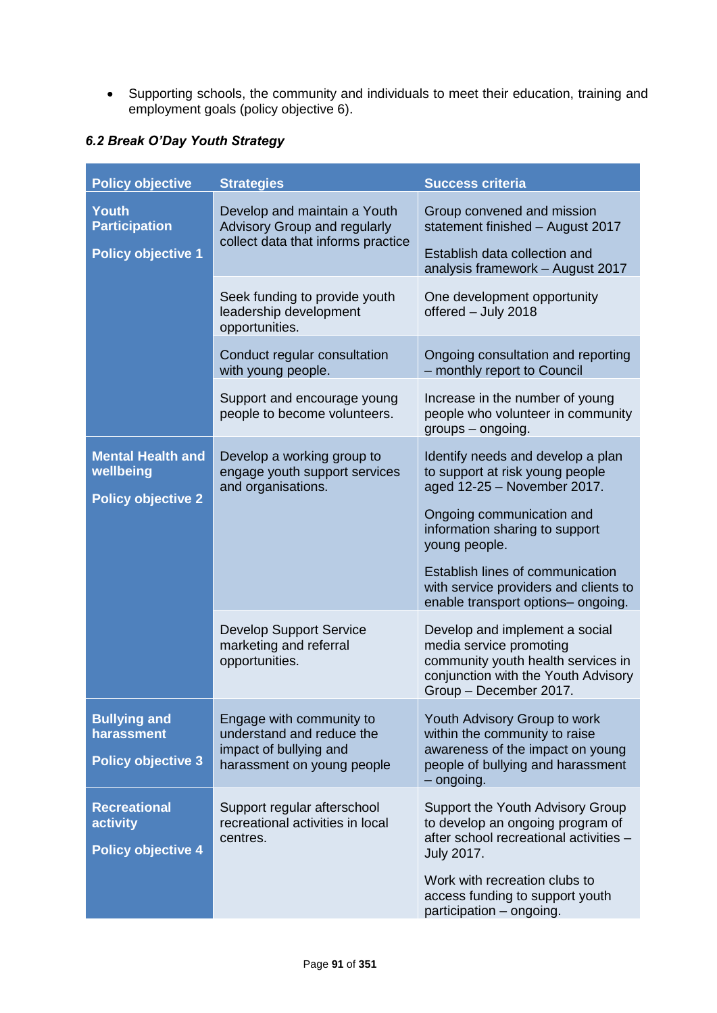Supporting schools, the community and individuals to meet their education, training and employment goals (policy objective 6).

## *6.2 Break O'Day Youth Strategy*

| <b>Policy objective</b>                                           | <b>Strategies</b>                                                                                             | <b>Success criteria</b>                                                                                                                                          |
|-------------------------------------------------------------------|---------------------------------------------------------------------------------------------------------------|------------------------------------------------------------------------------------------------------------------------------------------------------------------|
| <b>Youth</b><br><b>Participation</b><br><b>Policy objective 1</b> | Develop and maintain a Youth<br><b>Advisory Group and regularly</b><br>collect data that informs practice     | Group convened and mission<br>statement finished - August 2017<br>Establish data collection and<br>analysis framework - August 2017                              |
|                                                                   | Seek funding to provide youth<br>leadership development<br>opportunities.                                     | One development opportunity<br>offered - July 2018                                                                                                               |
|                                                                   | Conduct regular consultation<br>with young people.                                                            | Ongoing consultation and reporting<br>- monthly report to Council                                                                                                |
|                                                                   | Support and encourage young<br>people to become volunteers.                                                   | Increase in the number of young<br>people who volunteer in community<br>groups - ongoing.                                                                        |
| <b>Mental Health and</b><br>wellbeing                             | Develop a working group to<br>engage youth support services<br>and organisations.                             | Identify needs and develop a plan<br>to support at risk young people<br>aged 12-25 - November 2017.                                                              |
| <b>Policy objective 2</b>                                         |                                                                                                               | Ongoing communication and<br>information sharing to support<br>young people.                                                                                     |
|                                                                   |                                                                                                               | Establish lines of communication<br>with service providers and clients to<br>enable transport options- ongoing.                                                  |
|                                                                   | <b>Develop Support Service</b><br>marketing and referral<br>opportunities.                                    | Develop and implement a social<br>media service promoting<br>community youth health services in<br>conjunction with the Youth Advisory<br>Group - December 2017. |
| <b>Bullying and</b><br>harassment<br><b>Policy objective 3</b>    | Engage with community to<br>understand and reduce the<br>impact of bullying and<br>harassment on young people | Youth Advisory Group to work<br>within the community to raise<br>awareness of the impact on young<br>people of bullying and harassment<br>$-$ ongoing.           |
| <b>Recreational</b><br>activity<br><b>Policy objective 4</b>      | Support regular afterschool<br>recreational activities in local<br>centres.                                   | Support the Youth Advisory Group<br>to develop an ongoing program of<br>after school recreational activities -<br><b>July 2017.</b>                              |
|                                                                   |                                                                                                               | Work with recreation clubs to<br>access funding to support youth<br>participation - ongoing.                                                                     |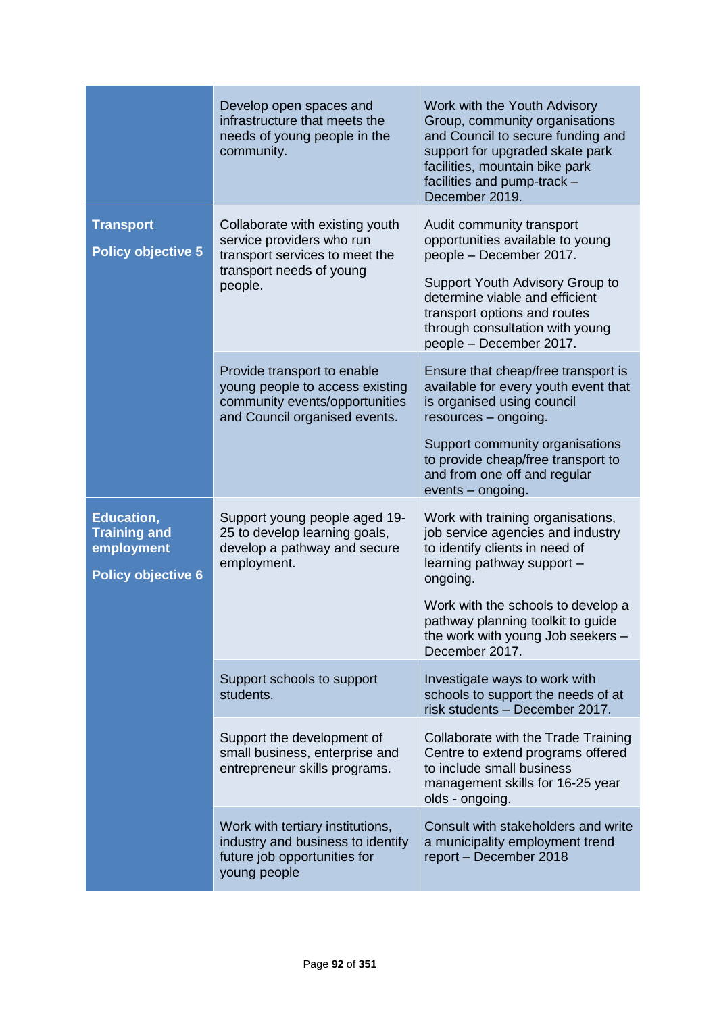|                                                                                     | Develop open spaces and<br>infrastructure that meets the<br>needs of young people in the<br>community.                                | Work with the Youth Advisory<br>Group, community organisations<br>and Council to secure funding and<br>support for upgraded skate park<br>facilities, mountain bike park<br>facilities and pump-track -<br>December 2019.                                                            |
|-------------------------------------------------------------------------------------|---------------------------------------------------------------------------------------------------------------------------------------|--------------------------------------------------------------------------------------------------------------------------------------------------------------------------------------------------------------------------------------------------------------------------------------|
| <b>Transport</b><br><b>Policy objective 5</b>                                       | Collaborate with existing youth<br>service providers who run<br>transport services to meet the<br>transport needs of young<br>people. | Audit community transport<br>opportunities available to young<br>people - December 2017.<br>Support Youth Advisory Group to<br>determine viable and efficient<br>transport options and routes<br>through consultation with young<br>people - December 2017.                          |
|                                                                                     | Provide transport to enable<br>young people to access existing<br>community events/opportunities<br>and Council organised events.     | Ensure that cheap/free transport is<br>available for every youth event that<br>is organised using council<br>resources - ongoing.<br>Support community organisations<br>to provide cheap/free transport to<br>and from one off and regular<br>events - ongoing.                      |
| <b>Education,</b><br><b>Training and</b><br>employment<br><b>Policy objective 6</b> | Support young people aged 19-<br>25 to develop learning goals,<br>develop a pathway and secure<br>employment.                         | Work with training organisations,<br>job service agencies and industry<br>to identify clients in need of<br>learning pathway support -<br>ongoing.<br>Work with the schools to develop a<br>pathway planning toolkit to guide<br>the work with young Job seekers -<br>December 2017. |
|                                                                                     | Support schools to support<br>students.                                                                                               | Investigate ways to work with<br>schools to support the needs of at<br>risk students - December 2017.                                                                                                                                                                                |
|                                                                                     | Support the development of<br>small business, enterprise and<br>entrepreneur skills programs.                                         | Collaborate with the Trade Training<br>Centre to extend programs offered<br>to include small business<br>management skills for 16-25 year<br>olds - ongoing.                                                                                                                         |
|                                                                                     | Work with tertiary institutions,<br>industry and business to identify<br>future job opportunities for<br>young people                 | Consult with stakeholders and write<br>a municipality employment trend<br>report - December 2018                                                                                                                                                                                     |